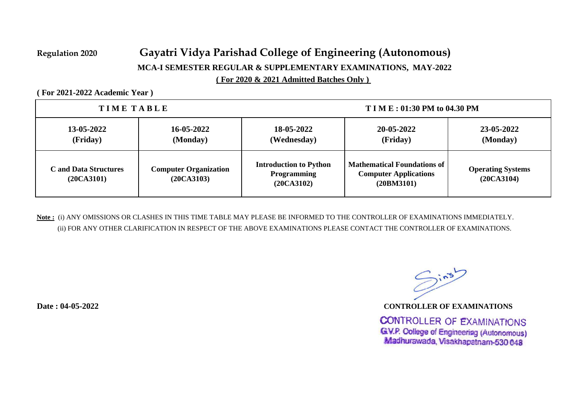## **( For 2020 & 2021 Admitted Batches Only ) Regulation 2020 Gayatri Vidya Parishad College of Engineering (Autonomous) MCA-I SEMESTER REGULAR & SUPPLEMENTARY EXAMINATIONS, MAY-2022**

**( For 2021-2022 Academic Year )** 

| TIME TABLE                                 |                                            | $TIM E: 01:30 PM$ to 04.30 PM                                     |                                                                                  |                                        |  |
|--------------------------------------------|--------------------------------------------|-------------------------------------------------------------------|----------------------------------------------------------------------------------|----------------------------------------|--|
| 13-05-2022<br>(Friday)                     | 16-05-2022<br>(Monday)                     | 18-05-2022<br>(Wednesday)                                         | 20-05-2022<br>(Friday)                                                           | 23-05-2022<br>(Monday)                 |  |
| <b>C</b> and Data Structures<br>(20CA3101) | <b>Computer Organization</b><br>(20CA3103) | <b>Introduction to Python</b><br><b>Programming</b><br>(20CA3102) | <b>Mathematical Foundations of</b><br><b>Computer Applications</b><br>(20BM3101) | <b>Operating Systems</b><br>(20CA3104) |  |

**Note :** (i) ANY OMISSIONS OR CLASHES IN THIS TIME TABLE MAY PLEASE BE INFORMED TO THE CONTROLLER OF EXAMINATIONS IMMEDIATELY. (ii) FOR ANY OTHER CLARIFICATION IN RESPECT OF THE ABOVE EXAMINATIONS PLEASE CONTACT THE CONTROLLER OF EXAMINATIONS.

 $Sin5$ 

**Date : 04-05-2022 CONTROLLER OF EXAMINATIONS**

**CONTROLLER OF EXAMINATIONS** G.V.P. College of Engineering (Autonomous) Madhurawada, Visakhapatnam-530 048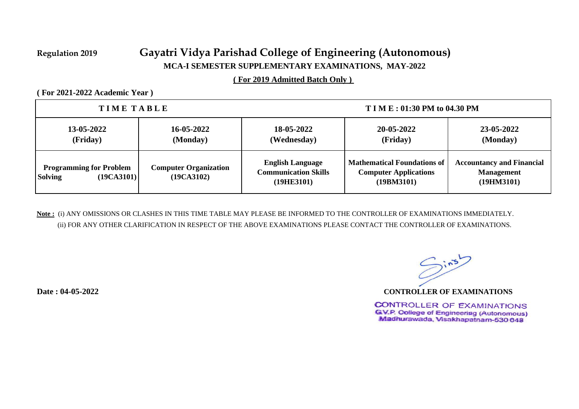## **Regulation 2019 Gayatri Vidya Parishad College of Engineering (Autonomous) MCA-I SEMESTER SUPPLEMENTARY EXAMINATIONS, MAY-2022**

**( For 2019 Admitted Batch Only )** 

**( For 2021-2022 Academic Year )** 

| TIME TABLE                                                     |                                            | <b>TIME: 01:30 PM to 04.30 PM</b>                                    |                                                                                  |                                                                     |  |
|----------------------------------------------------------------|--------------------------------------------|----------------------------------------------------------------------|----------------------------------------------------------------------------------|---------------------------------------------------------------------|--|
| 13-05-2022<br>(Friday)                                         | 16-05-2022<br>(Monday)                     | 18-05-2022<br>(Wednesday)                                            | 20-05-2022<br>(Friday)                                                           | 23-05-2022<br>(Monday)                                              |  |
| <b>Programming for Problem</b><br>(19CA3101)<br><b>Solving</b> | <b>Computer Organization</b><br>(19CA3102) | <b>English Language</b><br><b>Communication Skills</b><br>(19HE3101) | <b>Mathematical Foundations of</b><br><b>Computer Applications</b><br>(19BM3101) | <b>Accountancy and Financial</b><br><b>Management</b><br>(19HM3101) |  |

**Note :** (i) ANY OMISSIONS OR CLASHES IN THIS TIME TABLE MAY PLEASE BE INFORMED TO THE CONTROLLER OF EXAMINATIONS IMMEDIATELY. (ii) FOR ANY OTHER CLARIFICATION IN RESPECT OF THE ABOVE EXAMINATIONS PLEASE CONTACT THE CONTROLLER OF EXAMINATIONS.

 $Sin5$ 

**Date : 04-05-2022 CONTROLLER OF EXAMINATIONS**

**CONTROLLER OF EXAMINATIONS** G.V.P. College of Engineering (Autonomous) Madhurawada, Visakhapatnam-530 048